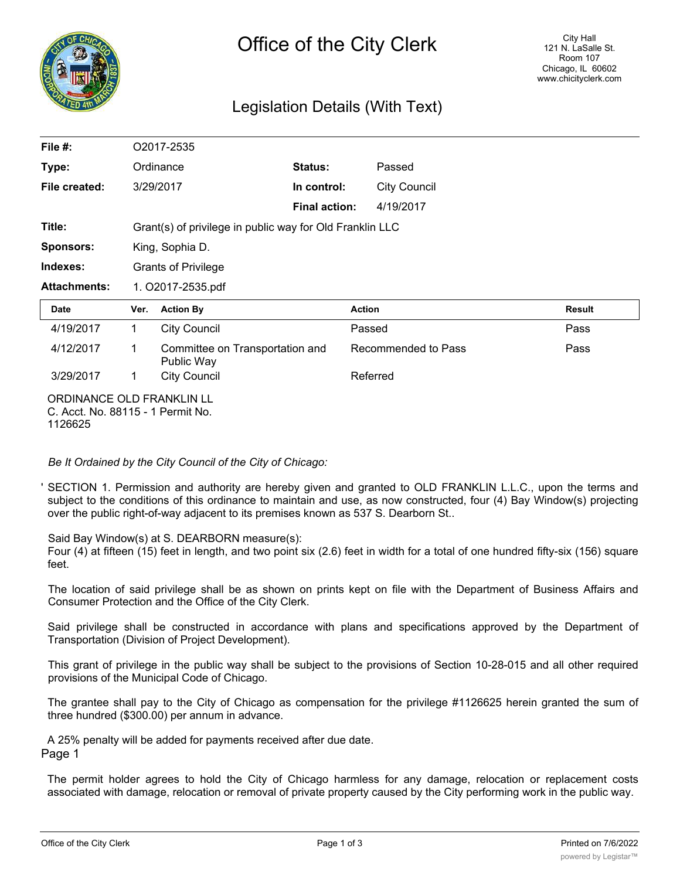

# Legislation Details (With Text)

| File $#$ :                                                     |           | O2017-2535                                               |                      |                     |               |  |
|----------------------------------------------------------------|-----------|----------------------------------------------------------|----------------------|---------------------|---------------|--|
| Type:                                                          | Ordinance |                                                          | Status:              | Passed              |               |  |
| File created:                                                  |           | 3/29/2017                                                | In control:          | <b>City Council</b> |               |  |
|                                                                |           |                                                          | <b>Final action:</b> | 4/19/2017           |               |  |
| Title:                                                         |           | Grant(s) of privilege in public way for Old Franklin LLC |                      |                     |               |  |
| <b>Sponsors:</b>                                               |           | King, Sophia D.                                          |                      |                     |               |  |
| Indexes:                                                       |           | <b>Grants of Privilege</b>                               |                      |                     |               |  |
| <b>Attachments:</b>                                            |           | 1. O2017-2535.pdf                                        |                      |                     |               |  |
| Date                                                           | Ver.      | <b>Action By</b>                                         | <b>Action</b>        |                     | <b>Result</b> |  |
| 4/19/2017                                                      | 1.        | <b>City Council</b>                                      |                      | Passed              | Pass          |  |
| 4/12/2017                                                      | 1         | Committee on Transportation and<br>Public Way            |                      | Recommended to Pass | Pass          |  |
| 3/29/2017                                                      | 1         | <b>City Council</b>                                      |                      | Referred            |               |  |
| ORDINANCE OLD FRANKLIN LL<br>C. Acct. No. 88115 - 1 Permit No. |           |                                                          |                      |                     |               |  |

1126625

*Be It Ordained by the City Council of the City of Chicago:*

' SECTION 1. Permission and authority are hereby given and granted to OLD FRANKLIN L.L.C., upon the terms and subject to the conditions of this ordinance to maintain and use, as now constructed, four (4) Bay Window(s) projecting over the public right-of-way adjacent to its premises known as 537 S. Dearborn St..

#### Said Bay Window(s) at S. DEARBORN measure(s):

Four (4) at fifteen (15) feet in length, and two point six (2.6) feet in width for a total of one hundred fifty-six (156) square feet.

The location of said privilege shall be as shown on prints kept on file with the Department of Business Affairs and Consumer Protection and the Office of the City Clerk.

Said privilege shall be constructed in accordance with plans and specifications approved by the Department of Transportation (Division of Project Development).

This grant of privilege in the public way shall be subject to the provisions of Section 10-28-015 and all other required provisions of the Municipal Code of Chicago.

The grantee shall pay to the City of Chicago as compensation for the privilege #1126625 herein granted the sum of three hundred (\$300.00) per annum in advance.

A 25% penalty will be added for payments received after due date. Page 1

The permit holder agrees to hold the City of Chicago harmless for any damage, relocation or replacement costs associated with damage, relocation or removal of private property caused by the City performing work in the public way.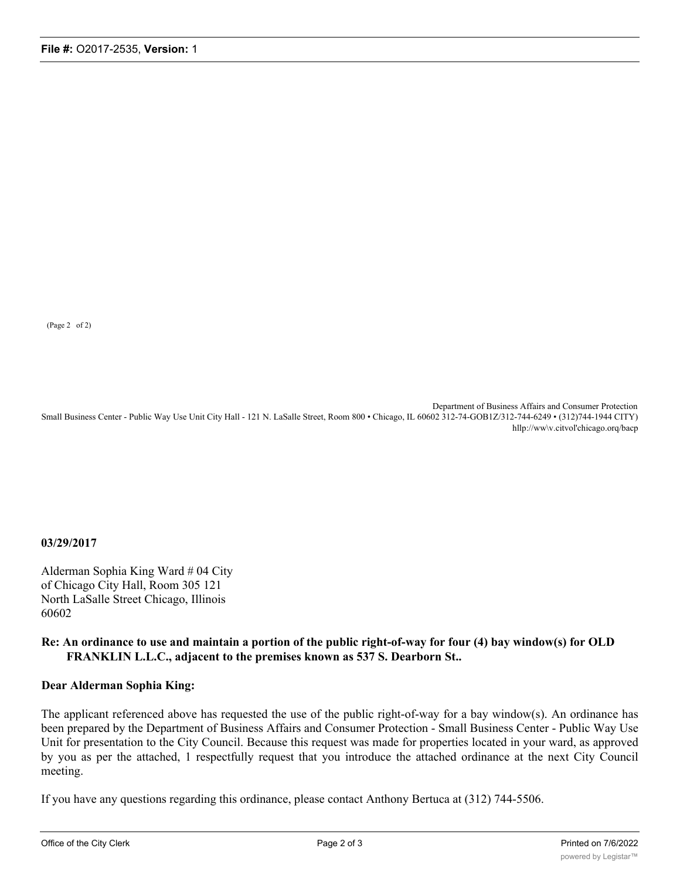(Page 2 of 2)

Department of Business Affairs and Consumer Protection Small Business Center - Public Way Use Unit City Hall - 121 N. LaSalle Street, Room 800 • Chicago, IL 60602 312-74-GOB1Z/312-744-6249 • (312)744-1944 CITY) hllp://ww\v.citvol'chicago.orq/bacp

**03/29/2017**

Alderman Sophia King Ward # 04 City of Chicago City Hall, Room 305 121 North LaSalle Street Chicago, Illinois 60602

### **Re: An ordinance to use and maintain a portion of the public right-of-way for four (4) bay window(s) for OLD FRANKLIN L.L.C., adjacent to the premises known as 537 S. Dearborn St..**

#### **Dear Alderman Sophia King:**

The applicant referenced above has requested the use of the public right-of-way for a bay window(s). An ordinance has been prepared by the Department of Business Affairs and Consumer Protection - Small Business Center - Public Way Use Unit for presentation to the City Council. Because this request was made for properties located in your ward, as approved by you as per the attached, 1 respectfully request that you introduce the attached ordinance at the next City Council meeting.

If you have any questions regarding this ordinance, please contact Anthony Bertuca at (312) 744-5506.